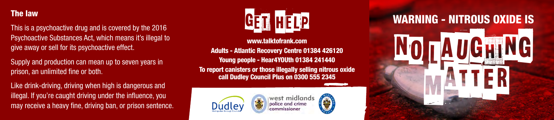

This is a psychoactive drug and is covered by the 2016 Psychoactive Substances Act, which means it's illegal to give away or sell for its psychoactive effect.

Supply and production can mean up to seven years in prison, an unlimited fine or both.

Like drink-driving, driving when high is dangerous and illegal. If you're caught driving under the influence, you may receive a heavy fine, driving ban, or prison sentence.



www.talktofrank.com

Adults - Atlantic Recovery Centre 01384 426120 Young people - Hear4YOUth 01384 241440 To report canisters or those illegally selling nitrous oxide call Dudley Council Plus on 0300 555 2345